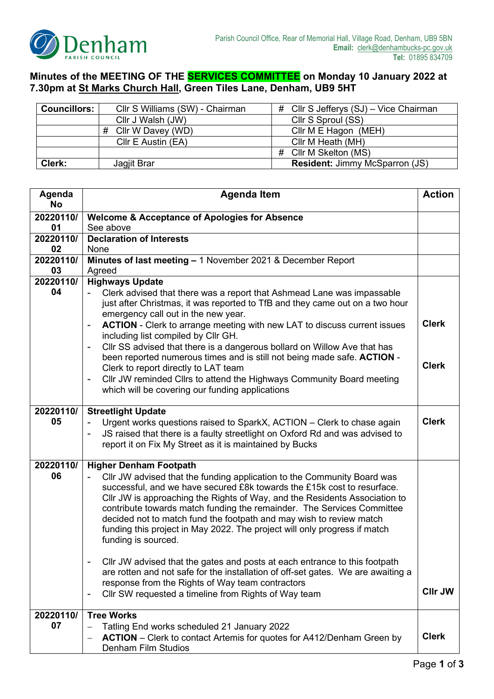

## **Minutes of the MEETING OF THE SERVICES COMMITTEE on Monday 10 January 2022 at 7.30pm at St Marks Church Hall, Green Tiles Lane, Denham, UB9 5HT**

| <b>Councillors:</b> | Cllr S Williams (SW) - Chairman | # Cllr S Jefferys (SJ) – Vice Chairman |
|---------------------|---------------------------------|----------------------------------------|
|                     | Cllr J Walsh (JW)               | Cllr S Sproul (SS)                     |
|                     | #<br>Cllr W Davey (WD)          | Cllr M E Hagon (MEH)                   |
|                     | CIIr E Austin (EA)              | Cllr M Heath (MH)                      |
|                     |                                 | # Cllr M Skelton (MS)                  |
| Clerk:              | Jagjit Brar                     | <b>Resident: Jimmy McSparron (JS)</b>  |

| Agenda<br><b>No</b> | <b>Agenda Item</b>                                                                                                                                                                                                                                                                                                                                                                                                                                                                    | <b>Action</b>  |
|---------------------|---------------------------------------------------------------------------------------------------------------------------------------------------------------------------------------------------------------------------------------------------------------------------------------------------------------------------------------------------------------------------------------------------------------------------------------------------------------------------------------|----------------|
| 20220110/           | <b>Welcome &amp; Acceptance of Apologies for Absence</b>                                                                                                                                                                                                                                                                                                                                                                                                                              |                |
| 01                  | See above                                                                                                                                                                                                                                                                                                                                                                                                                                                                             |                |
| 20220110/           | <b>Declaration of Interests</b>                                                                                                                                                                                                                                                                                                                                                                                                                                                       |                |
| 02                  | None                                                                                                                                                                                                                                                                                                                                                                                                                                                                                  |                |
| 20220110/           | Minutes of last meeting - 1 November 2021 & December Report                                                                                                                                                                                                                                                                                                                                                                                                                           |                |
| 03                  | Agreed                                                                                                                                                                                                                                                                                                                                                                                                                                                                                |                |
| 20220110/           | <b>Highways Update</b>                                                                                                                                                                                                                                                                                                                                                                                                                                                                |                |
| 04                  | Clerk advised that there was a report that Ashmead Lane was impassable<br>just after Christmas, it was reported to TfB and they came out on a two hour<br>emergency call out in the new year.<br>ACTION - Clerk to arrange meeting with new LAT to discuss current issues<br>$\qquad \qquad \blacksquare$                                                                                                                                                                             | <b>Clerk</b>   |
|                     | including list compiled by Cllr GH.<br>CIIr SS advised that there is a dangerous bollard on Willow Ave that has<br>been reported numerous times and is still not being made safe. ACTION -                                                                                                                                                                                                                                                                                            |                |
|                     | Clerk to report directly to LAT team<br>Cllr JW reminded Cllrs to attend the Highways Community Board meeting<br>$\qquad \qquad \blacksquare$<br>which will be covering our funding applications                                                                                                                                                                                                                                                                                      | <b>Clerk</b>   |
| 20220110/           | <b>Streetlight Update</b>                                                                                                                                                                                                                                                                                                                                                                                                                                                             |                |
| 05                  | Urgent works questions raised to SparkX, ACTION - Clerk to chase again<br>JS raised that there is a faulty streetlight on Oxford Rd and was advised to<br>$\qquad \qquad \blacksquare$<br>report it on Fix My Street as it is maintained by Bucks                                                                                                                                                                                                                                     | <b>Clerk</b>   |
| 20220110/           | <b>Higher Denham Footpath</b>                                                                                                                                                                                                                                                                                                                                                                                                                                                         |                |
| 06                  | Cllr JW advised that the funding application to the Community Board was<br>successful, and we have secured £8k towards the £15k cost to resurface.<br>CIIr JW is approaching the Rights of Way, and the Residents Association to<br>contribute towards match funding the remainder. The Services Committee<br>decided not to match fund the footpath and may wish to review match<br>funding this project in May 2022. The project will only progress if match<br>funding is sourced. |                |
|                     | Cllr JW advised that the gates and posts at each entrance to this footpath<br>are rotten and not safe for the installation of off-set gates. We are awaiting a<br>response from the Rights of Way team contractors<br>Cllr SW requested a timeline from Rights of Way team<br>$\overline{\phantom{a}}$                                                                                                                                                                                | <b>CIIr JW</b> |
| 20220110/           | <b>Tree Works</b>                                                                                                                                                                                                                                                                                                                                                                                                                                                                     |                |
| 07                  | Tatling End works scheduled 21 January 2022<br><b>ACTION</b> – Clerk to contact Artemis for quotes for A412/Denham Green by<br><b>Denham Film Studios</b>                                                                                                                                                                                                                                                                                                                             | <b>Clerk</b>   |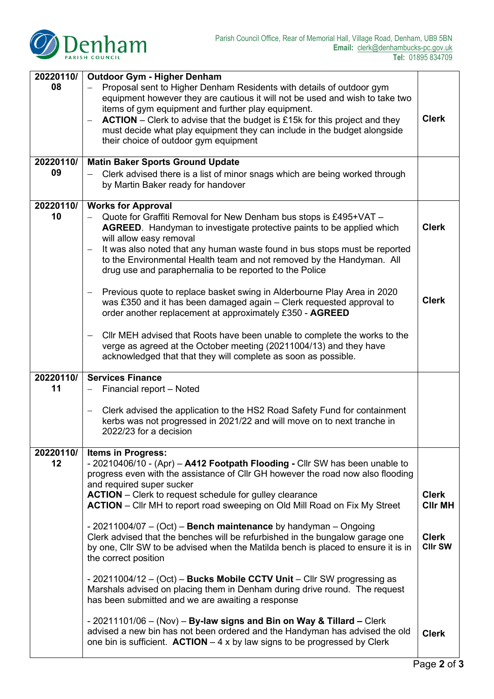

| 20220110/ | <b>Outdoor Gym - Higher Denham</b>                                                                                                                                                                                                                                                                                                                                                                                                          |                                |  |
|-----------|---------------------------------------------------------------------------------------------------------------------------------------------------------------------------------------------------------------------------------------------------------------------------------------------------------------------------------------------------------------------------------------------------------------------------------------------|--------------------------------|--|
| 08        | Proposal sent to Higher Denham Residents with details of outdoor gym<br>equipment however they are cautious it will not be used and wish to take two<br>items of gym equipment and further play equipment.<br>$ACTION$ – Clerk to advise that the budget is £15k for this project and they<br>$\overline{\phantom{m}}$<br>must decide what play equipment they can include in the budget alongside<br>their choice of outdoor gym equipment | <b>Clerk</b>                   |  |
| 20220110/ | <b>Matin Baker Sports Ground Update</b>                                                                                                                                                                                                                                                                                                                                                                                                     |                                |  |
| 09        | Clerk advised there is a list of minor snags which are being worked through<br>by Martin Baker ready for handover                                                                                                                                                                                                                                                                                                                           |                                |  |
| 20220110/ | <b>Works for Approval</b>                                                                                                                                                                                                                                                                                                                                                                                                                   |                                |  |
| 10        | Quote for Graffiti Removal for New Denham bus stops is £495+VAT -<br><b>AGREED.</b> Handyman to investigate protective paints to be applied which<br>will allow easy removal<br>It was also noted that any human waste found in bus stops must be reported<br>$\overline{\phantom{m}}$<br>to the Environmental Health team and not removed by the Handyman. All<br>drug use and paraphernalia to be reported to the Police                  | <b>Clerk</b>                   |  |
|           | Previous quote to replace basket swing in Alderbourne Play Area in 2020<br>was £350 and it has been damaged again – Clerk requested approval to<br>order another replacement at approximately £350 - AGREED                                                                                                                                                                                                                                 | <b>Clerk</b>                   |  |
|           | CIIr MEH advised that Roots have been unable to complete the works to the<br>verge as agreed at the October meeting (20211004/13) and they have<br>acknowledged that that they will complete as soon as possible.                                                                                                                                                                                                                           |                                |  |
| 20220110/ | <b>Services Finance</b>                                                                                                                                                                                                                                                                                                                                                                                                                     |                                |  |
| 11        | Financial report - Noted                                                                                                                                                                                                                                                                                                                                                                                                                    |                                |  |
|           | Clerk advised the application to the HS2 Road Safety Fund for containment<br>kerbs was not progressed in 2021/22 and will move on to next tranche in<br>2022/23 for a decision                                                                                                                                                                                                                                                              |                                |  |
| 20220110/ | <b>Items in Progress:</b>                                                                                                                                                                                                                                                                                                                                                                                                                   |                                |  |
| 12        | - 20210406/10 - (Apr) - A412 Footpath Flooding - Cllr SW has been unable to<br>progress even with the assistance of Cllr GH however the road now also flooding<br>and required super sucker                                                                                                                                                                                                                                                 |                                |  |
|           | <b>ACTION</b> – Clerk to request schedule for gulley clearance<br><b>ACTION</b> – Cllr MH to report road sweeping on Old Mill Road on Fix My Street                                                                                                                                                                                                                                                                                         | <b>Clerk</b><br><b>CIIr MH</b> |  |
|           | - 20211004/07 $-$ (Oct) $-$ Bench maintenance by handyman $-$ Ongoing<br>Clerk advised that the benches will be refurbished in the bungalow garage one<br>by one, Cllr SW to be advised when the Matilda bench is placed to ensure it is in<br>the correct position                                                                                                                                                                         | <b>Clerk</b><br><b>CIIr SW</b> |  |
|           | - 20211004/12 – (Oct) – Bucks Mobile CCTV Unit – Cllr SW progressing as<br>Marshals advised on placing them in Denham during drive round. The request<br>has been submitted and we are awaiting a response                                                                                                                                                                                                                                  |                                |  |
|           | $-20211101/06 - (Nov) - By-law signs and Bin on Way & Tillard - Clerk$<br>advised a new bin has not been ordered and the Handyman has advised the old<br>one bin is sufficient. $ACTION - 4 x$ by law signs to be progressed by Clerk                                                                                                                                                                                                       | <b>Clerk</b>                   |  |